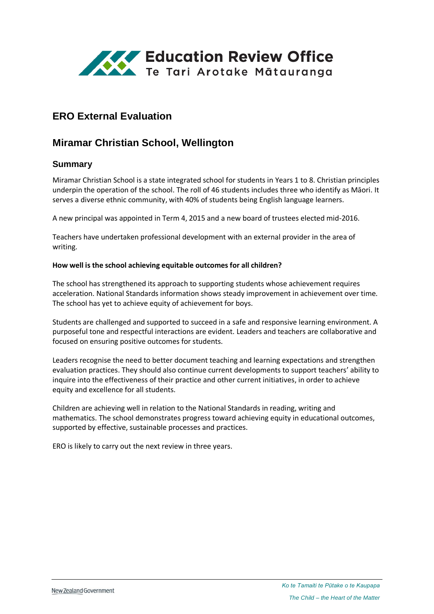

# **ERO External Evaluation**

# **Miramar Christian School, Wellington**

## **Summary**

Miramar Christian School is a state integrated school for students in Years 1 to 8. Christian principles underpin the operation of the school. The roll of 46 students includes three who identify as Māori. It serves a diverse ethnic community, with 40% of students being English language learners.

A new principal was appointed in Term 4, 2015 and a new board of trustees elected mid-2016.

Teachers have undertaken professional development with an external provider in the area of writing.

#### **How well is the school achieving equitable outcomes for all children?**

The school has strengthened its approach to supporting students whose achievement requires acceleration. National Standards information shows steady improvement in achievement over time. The school has yet to achieve equity of achievement for boys.

Students are challenged and supported to succeed in a safe and responsive learning environment. A purposeful tone and respectful interactions are evident. Leaders and teachers are collaborative and focused on ensuring positive outcomes for students.

Leaders recognise the need to better document teaching and learning expectations and strengthen evaluation practices. They should also continue current developments to support teachers' ability to inquire into the effectiveness of their practice and other current initiatives, in order to achieve equity and excellence for all students.

Children are achieving well in relation to the National Standards in reading, writing and mathematics. The school demonstrates progress toward achieving equity in educational outcomes, supported by effective, sustainable processes and practices.

ERO is likely to carry out the next review in three years.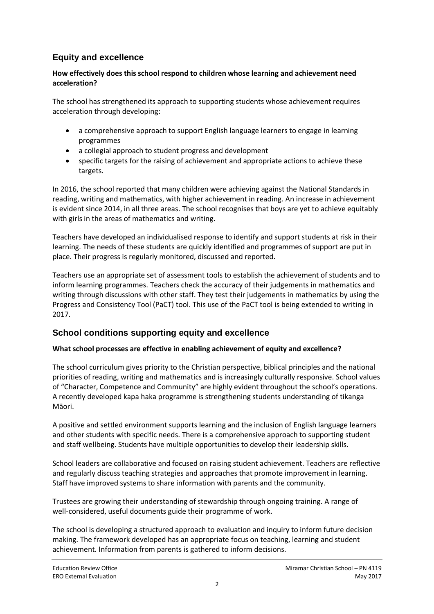# **Equity and excellence**

### **How effectively does this school respond to children whose learning and achievement need acceleration?**

The school has strengthened its approach to supporting students whose achievement requires acceleration through developing:

- a comprehensive approach to support English language learners to engage in learning programmes
- a collegial approach to student progress and development
- specific targets for the raising of achievement and appropriate actions to achieve these targets.

In 2016, the school reported that many children were achieving against the National Standards in reading, writing and mathematics, with higher achievement in reading. An increase in achievement is evident since 2014, in all three areas. The school recognises that boys are yet to achieve equitably with girls in the areas of mathematics and writing.

Teachers have developed an individualised response to identify and support students at risk in their learning. The needs of these students are quickly identified and programmes of support are put in place. Their progress is regularly monitored, discussed and reported.

Teachers use an appropriate set of assessment tools to establish the achievement of students and to inform learning programmes. Teachers check the accuracy of their judgements in mathematics and writing through discussions with other staff. They test their judgements in mathematics by using the Progress and Consistency Tool (PaCT) tool. This use of the PaCT tool is being extended to writing in 2017.

## **School conditions supporting equity and excellence**

### **What school processes are effective in enabling achievement of equity and excellence?**

The school curriculum gives priority to the Christian perspective, biblical principles and the national priorities of reading, writing and mathematics and is increasingly culturally responsive. School values of "Character, Competence and Community" are highly evident throughout the school's operations. A recently developed kapa haka programme is strengthening students understanding of tikanga Māori.

A positive and settled environment supports learning and the inclusion of English language learners and other students with specific needs. There is a comprehensive approach to supporting student and staff wellbeing. Students have multiple opportunities to develop their leadership skills.

School leaders are collaborative and focused on raising student achievement. Teachers are reflective and regularly discuss teaching strategies and approaches that promote improvement in learning. Staff have improved systems to share information with parents and the community.

Trustees are growing their understanding of stewardship through ongoing training. A range of well-considered, useful documents guide their programme of work.

The school is developing a structured approach to evaluation and inquiry to inform future decision making. The framework developed has an appropriate focus on teaching, learning and student achievement. Information from parents is gathered to inform decisions.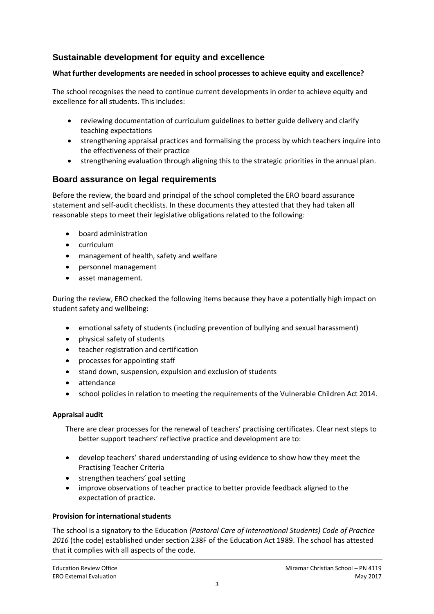## **Sustainable development for equity and excellence**

### **What further developments are needed in school processes to achieve equity and excellence?**

The school recognises the need to continue current developments in order to achieve equity and excellence for all students. This includes:

- reviewing documentation of curriculum guidelines to better guide delivery and clarify teaching expectations
- strengthening appraisal practices and formalising the process by which teachers inquire into the effectiveness of their practice
- strengthening evaluation through aligning this to the strategic priorities in the annual plan.

## **Board assurance on legal requirements**

Before the review, the board and principal of the school completed the ERO board assurance statement and self-audit checklists. In these documents they attested that they had taken all reasonable steps to meet their legislative obligations related to the following:

- board administration
- curriculum
- management of health, safety and welfare
- personnel management
- asset management.

During the review, ERO checked the following items because they have a potentially high impact on student safety and wellbeing:

- emotional safety of students (including prevention of bullying and sexual harassment)
- physical safety of students
- teacher registration and certification
- processes for appointing staff
- stand down, suspension, expulsion and exclusion of students
- attendance
- school policies in relation to meeting the requirements of the Vulnerable Children Act 2014.

#### **Appraisal audit**

There are clear processes for the renewal of teachers' practising certificates. Clear next steps to better support teachers' reflective practice and development are to:

- develop teachers' shared understanding of using evidence to show how they meet the Practising Teacher Criteria
- strengthen teachers' goal setting
- improve observations of teacher practice to better provide feedback aligned to the expectation of practice.

#### **Provision for international students**

The school is a signatory to the Education *(Pastoral Care of International Students) Code of Practice 2016* (the code) established under section 238F of the Education Act 1989. The school has attested that it complies with all aspects of the code.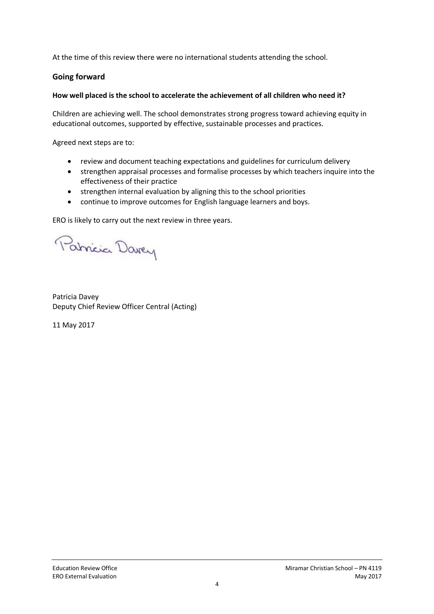At the time of this review there were no international students attending the school.

### **Going forward**

### **How well placed is the school to accelerate the achievement of all children who need it?**

Children are achieving well. The school demonstrates strong progress toward achieving equity in educational outcomes, supported by effective, sustainable processes and practices.

Agreed next steps are to:

- review and document teaching expectations and guidelines for curriculum delivery
- strengthen appraisal processes and formalise processes by which teachers inquire into the effectiveness of their practice
- strengthen internal evaluation by aligning this to the school priorities
- continue to improve outcomes for English language learners and boys.

ERO is likely to carry out the next review in three years.

Patricia Darry

Patricia Davey Deputy Chief Review Officer Central (Acting)

11 May 2017